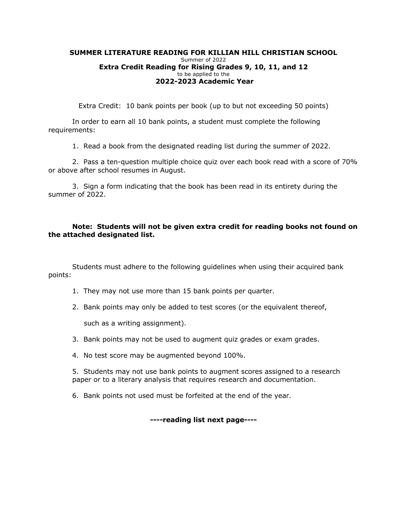## **SUMMER LITERATURE READING FOR KILLIAN HILL CHRISTIAN SCHOOL** Summer of 2022 **Extra Credit Reading for Rising Grades 9, 10, 11, and 12**  to be applied to the **2022-2023 Academic Year**

Extra Credit: 10 bank points per book (up to but not exceeding 50 points)

In order to earn all 10 bank points, a student must complete the following requirements:

1. Read a book from the designated reading list during the summer of 2022.

2. Pass a ten-question multiple choice quiz over each book read with a score of 70% or above after school resumes in August.

3. Sign a form indicating that the book has been read in its entirety during the summer of 2022.

## **Note: Students will not be given extra credit for reading books not found on the attached designated list.**

Students must adhere to the following guidelines when using their acquired bank points:

- 1. They may not use more than 15 bank points per quarter.
- 2. Bank points may only be added to test scores (or the equivalent thereof,

such as a writing assignment).

- 3. Bank points may not be used to augment quiz grades or exam grades.
- 4. No test score may be augmented beyond 100%.

5. Students may not use bank points to augment scores assigned to a research paper or to a literary analysis that requires research and documentation.

6. Bank points not used must be forfeited at the end of the year.

**----reading list next page----**